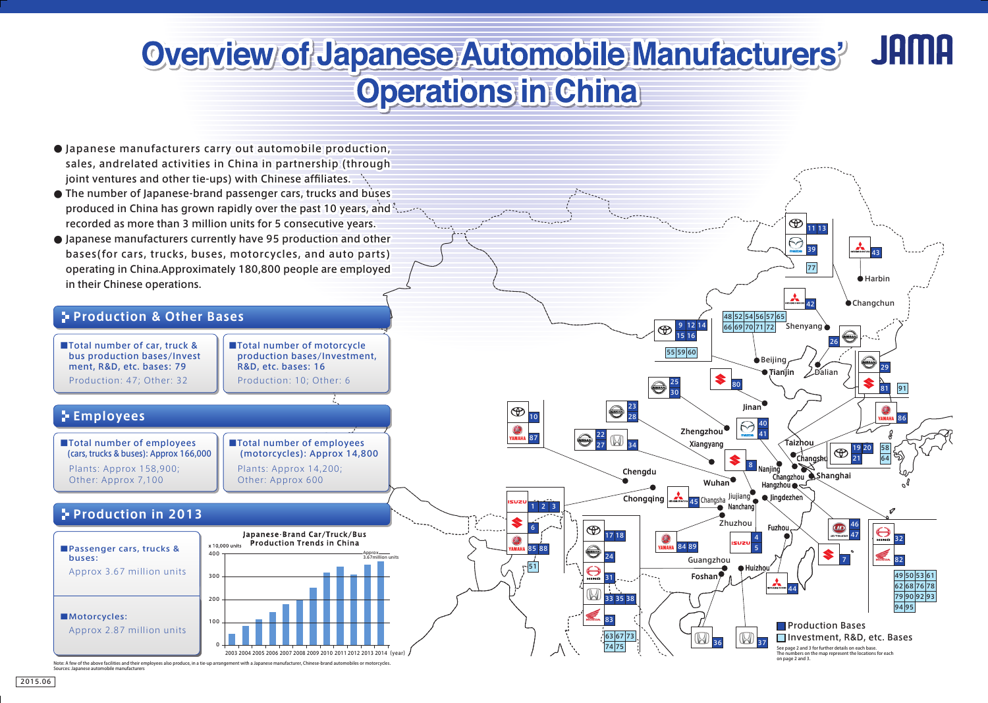# Overview of Japanese Automobile Manufacturers' **Operations in China**



Note: A few of the above facilities and their employees also produce, in a tie-up arrang

Sources: Japanese automobile manufacturers



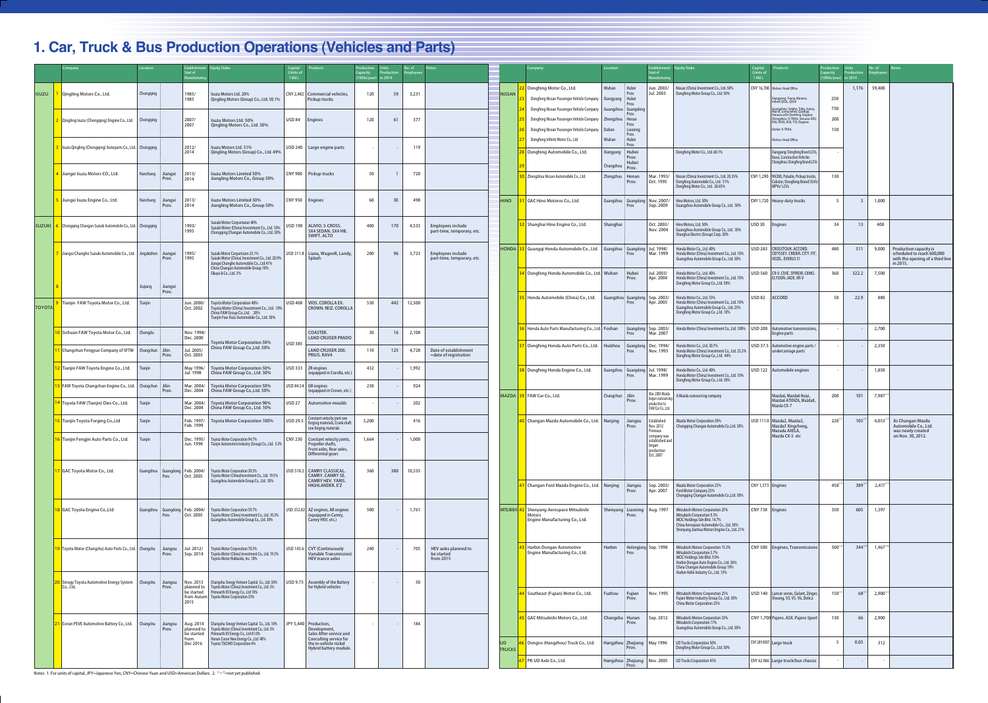|               | Company                                                                 | Location                                    | <b>Establishmen</b><br>Start of<br>Manufacturi | <b>Equity Stake</b>                                                                                                                                                            | Capital<br>(Units of<br>$1$ Mil. $)$ | <b>Products</b>                                                                                          | roduction<br>Capacity<br>$(1000s/year)$ in 2014 | Productio | No. of | <b>Notes</b>                                           |                            | Company                                                                                                            | Location                                  |                                                                                  | stablishment/<br>Start of<br><b>Manufacturin</b>                   | <b>Equity Stake</b>                                                                                                                                                                                                       | Capital<br>(Units of<br>$1$ Mil. $)$ | <b>Products</b>                                                                                                                                                                         | Production<br>Capacity<br>(1000s/year) in 2014 | Production | No. of       | <b>Notes</b>                                                                                         |
|---------------|-------------------------------------------------------------------------|---------------------------------------------|------------------------------------------------|--------------------------------------------------------------------------------------------------------------------------------------------------------------------------------|--------------------------------------|----------------------------------------------------------------------------------------------------------|-------------------------------------------------|-----------|--------|--------------------------------------------------------|----------------------------|--------------------------------------------------------------------------------------------------------------------|-------------------------------------------|----------------------------------------------------------------------------------|--------------------------------------------------------------------|---------------------------------------------------------------------------------------------------------------------------------------------------------------------------------------------------------------------------|--------------------------------------|-----------------------------------------------------------------------------------------------------------------------------------------------------------------------------------------|------------------------------------------------|------------|--------------|------------------------------------------------------------------------------------------------------|
| <b>ISUZU</b>  | Qingling Motors Co., Ltd.                                               | Chongqing                                   | 1985/<br>1985                                  | Isuzu Motors Ltd. 20%<br>Qingling Motors (Group) Co., Ltd. 50.19                                                                                                               |                                      | CNY 2,482   Commercial vehicles,<br>Pickup trucks                                                        | 120                                             | 59        | 3,231  |                                                        | <b>NISSAN</b>              | Dongfeng Motor Co., Ltd.<br>Dongfeng Nissan Passenger Vehicle Company<br>Dongfeng Nissan Passenger Vehicle Company | Wuhan<br>Xiangyang<br>Guangzhou Guangdong | Hubei<br>Prov.<br>: Hubei<br>Prov.                                               | Jun. 2003/<br>Jul. 2003                                            | Nissan (China) Investment Co., Ltd. 50%<br>Dongfeng Motor Group Co., Ltd. 50%                                                                                                                                             |                                      | CNY 16,700 Wuhan: Head Office<br>Xiangyang: Teana, Murano,<br>Infiniti Q50L, QX50                                                                                                       | 250<br>750                                     | 1,176      | 59,400       |                                                                                                      |
|               | Qingling Isuzu (Chongqing) Engine Co., Ltd.   Chongqing                 |                                             | 2007/<br>2007                                  | Isuzu Motors Ltd. 50%<br>Qingling Motors Co., Ltd. 50%                                                                                                                         | <b>USD 84</b>                        | <b>Engines</b>                                                                                           | 120                                             | 61        | 377    |                                                        |                            | Dongfeng Nissan Passenger Vehicle Company<br>Dongfeng Nissan Passenger Vehicle Company                             | Zhengzhou<br>Dalian                       | Prov.<br>Henan<br>Prov.<br>Liaonino<br>Prov.                                     |                                                                    |                                                                                                                                                                                                                           |                                      | Guangzhou: Sylphy, Tiida, Sunn<br>March, Livina series, Qashqai,<br>Venucia e30 Chenfeng, Engines<br>Zhengzhou: X-TRAIL, Venucia D50<br>R50, R50X, R30, T70, Engines<br>Dalian: X-TRAIL | 200<br>150                                     |            |              |                                                                                                      |
|               | Isuzu Qingling (Chongqing) Autoparts Co., Ltd.   Chongqing              |                                             | 2012/<br>2014                                  | Isuzu Motors Ltd. 51%<br>Qingling Motors (Group) Co., Ltd. 49%                                                                                                                 |                                      | USD 240   Large engine parts                                                                             | $\overline{\phantom{a}}$                        |           | 119    |                                                        |                            | Dongfeng Infiniti Motor Co., Ltd<br>Dongfeng Automobile Co., Ltd.                                                  | Wuhan<br>Xiangyang                        | Hubei<br>Prov.<br>Hubei<br>Prov.<br>Hubei<br>: Prov.<br>Zhengzhou Henan<br>Prov. |                                                                    | Dongfeng Motor Co., Ltd. 60.1%                                                                                                                                                                                            |                                      | Wuhan: Head Office<br>iangyang: Dongfeng Brand LCVs,<br><b>Buses, Construction Vehicles</b><br>Changzhou: Dongfeng Brand LCVs                                                           |                                                |            |              |                                                                                                      |
|               | Jiangxi Isuzu Motors CO., Ltd.                                          | Nanchang<br>Jiangxi<br>Prov.                | 2013/<br>2014                                  | <b>Isuzu Motors Limited 50%</b><br>Jiangling Motors Co., Group 50%                                                                                                             |                                      | CNY 900   Pickup trucks                                                                                  | 50                                              |           | 720    |                                                        |                            | Zhengzhou Nissan Automobile Co., Ltd.                                                                              | Changzhou                                 |                                                                                  | Mar. 1993/<br>Oct. 1995                                            | Nissan (China) Investment Co., Ltd. 20.35%<br>Dongfeng Automobile Co., Ltd. 51%<br>Dongfeng Motor Co., Ltd. 28.65%                                                                                                        |                                      | CNY 1,290 NV200, Paladin, Pickup trucks,<br>Cabstar, Dongfeng Brand SUVs/<br>MPVs/LCVs                                                                                                  | 130                                            |            |              |                                                                                                      |
|               | Jiangxi Isuzu Engine Co., Ltd.                                          | Nanchang<br>Jiangxi<br>Prov.                | 2013<br>2014                                   | <b>Isuzu Motors Limited 50%</b><br>Jiangling Motors Co., Group 50%                                                                                                             |                                      | CNY 950 Engines                                                                                          | 60                                              | 30        | 498    |                                                        | <b>HINO</b>                | GAC Hino Motoros Co., Ltd.                                                                                         |                                           | Guangzhou Guangdong<br>Prov.                                                     | Nov. 2007/<br>Sep. 2009                                            | Hino Motors, Ltd. 50%<br>Guangzhou Automobile Group Co., Ltd. 50%                                                                                                                                                         |                                      | CNY 1,720   Heavy-duty trucks                                                                                                                                                           |                                                |            | 1,000        |                                                                                                      |
|               | SUZUKI 6 Chongqing Changan Suzuki Automobile Co., Ltd. Chongqing        |                                             | 1993/<br>1995                                  | Suzuki Motor Corportaion 40%<br>Suzuki Motor (China) Investment Co., Ltd. 10%<br>Chongqing Changan Automobile Co., Ltd. 50%                                                    | <b>USD 190</b>                       | ALIVIO. S-CROSS.<br>SX4 SEDAN, SX4 HB.<br><b>SWIFT, ALTO</b>                                             | 400                                             | 170       | 4,533  | <b>Employees include</b><br>part-time, temporary, etc. |                            | <b>2</b> Shanghai Hino Engine Co., Ltd.                                                                            | Shanghai                                  |                                                                                  | Oct. 2003/<br>Nov. 2004                                            | Hino Motors, Ltd. 50%<br>Guangzhou Automobile Group Co., Ltd. 30%<br>Shanghai Electric (Group) Corp. 20%                                                                                                                  | USD 30                               | <b>Engines</b>                                                                                                                                                                          | 34                                             | 13         | 400          |                                                                                                      |
|               | Jiangxi Changhe Suzuki Automobile Co., Ltd. Jingdezhen                  | Jiangxi<br>Prov.                            | 1995/<br>1995                                  | Suzuki Motor Corportaion 25.1%<br>Suzuki Motor (China) Investment Co., Ltd. 20.9%<br>Jiangxi Changhe Automobile Co., Ltd 41%<br>China Changan Automobile Group 10%             |                                      | USD 311.8   Liana, WagonR, Landy,<br>Splash                                                              | 200                                             | 96        | 3,723  | Employees include<br>part-time, temporary, etc.        |                            | HONDA 33 Guangqi Honda Automobile Co., Ltd.                                                                        |                                           | suangzhou : Guangdong<br>Prov.                                                   | Jul. 1998/<br>Mar. 1999                                            | Ionda Motor Co., Ltd. 40%<br>Honda Motor (China) Investment Co., Ltd. 10%<br>Guangzhou Automobile Group Co., Ltd. 50%                                                                                                     |                                      | USD 283   CROSSTOUR, ACCORD.<br>ODYSSEY、CRIDER、CITY、FIT、<br><b>VEZEL, EVERUS S1</b>                                                                                                     | 480                                            | 511        | 9,000        | Production capacity is<br>scheduled to reach 600,000<br>with the opening of a third line<br>in 2015. |
|               |                                                                         | Jiujiang<br>Jiangxi<br>Prov.                |                                                | Okaya & Co., Ltd. 3%                                                                                                                                                           |                                      |                                                                                                          |                                                 |           |        |                                                        |                            | 34 Dongfeng Honda Automobile Co., Ltd. Wuhan                                                                       |                                           | Hubei<br>Prov.                                                                   | lul. 2003/<br>Apr. 2004                                            | londa Motor Co., Ltd. 40%<br>Honda Motor (China) Investment Co., Ltd. 10%<br>Dongfeng Motor Group Co., Ltd. 50%                                                                                                           | USD 82                               | USD 560 CR-V. CIVIC. SPIRIOR. CIIMO.<br>LYSION, JADE, XR-V<br><b>ACCORD</b>                                                                                                             | 360<br>50                                      | 322.2      | 7,500        |                                                                                                      |
| <b>TOYOTA</b> | Tianjin FAW Toyota Motor Co., Ltd.                                      | Tianjin                                     | Jun. 2000/<br>Oct. 2002                        | <b>Toyota Motor Corporation 40%</b><br>Toyota Motor (China) Investment Co., Ltd. 10%<br>China FAW Group Co., Ltd. 20%<br>Tianjin Faw XiaLi Automobile Co., Ltd. 30%            |                                      | USD 408   VIOS. COROLLA EX.<br>CROWN, REIZ, COROLLA                                                      | 530                                             | 442       | 12,500 |                                                        |                            | Honda Automobile (China) Co., Ltd.                                                                                 |                                           | uangzhou: Guangdong<br>Prov.                                                     | Sep. 2003/<br>Apr. 2005                                            | Ionda Motor Co., Ltd. 55%<br>Honda Motor (China) Investment Co., Ltd. 10%<br>Guangzhou Automobile Group Co., Ltd. 25%<br>Dongfeng Motor Group Co., Ltd. 10%                                                               |                                      |                                                                                                                                                                                         |                                                | 22.9       | 880          |                                                                                                      |
|               | O Sichuan FAW Toyota Motor Co., Ltd.                                    | Chengdu                                     | Nov. 1998/<br>Dec. 2000                        |                                                                                                                                                                                |                                      | <b>COASTER.</b><br><b>LAND CRUISER PRADO</b>                                                             | 30                                              | 16        | 2,108  |                                                        |                            | <b>36</b> Honda Auto Parts Manufacturing Co., Ltd. Foshan                                                          |                                           | Prov.                                                                            | Guangdong Sep. 2005/<br>Mar. 2007                                  | Ionda Motor (China) Investment Co., Ltd. 100%                                                                                                                                                                             | <b>JSD 200</b>                       | Automotive transmissions,<br>ngine parts:                                                                                                                                               |                                                |            | 2,700        |                                                                                                      |
|               | 1 Changchun Fengyue Company of SFTM   Changchun   Jilin                 | <b>Prov</b>                                 | Jul. 2005/<br>Oct. 2003                        | <b>Toyota Motor Corporation 50%</b><br>China FAW Group Co., Ltd. 50%                                                                                                           | <b>USD 385</b>                       | <b>LAND CRUISER 200.</b><br>PRIUS.RAV4                                                                   | 110                                             | 125       | 4,728  | Date of establishment<br>=date of registration         |                            | 37 Dongfeng Honda Auto Parts Co., Ltd.                                                                             | Huizhou                                   | Guangdong<br>Prov.                                                               | Dec. 1994/<br>Nov. 1995                                            | londa Motor Co., Ltd. 30.7%<br>Honda Motor (China) Investment Co., Ltd. 25.3%<br>Dongfeng Motor Group Co., Ltd. 44%                                                                                                       |                                      | USD 37.5 Automotive engine parts /<br><b>Indercarriage parts</b>                                                                                                                        |                                                |            | 2,350        |                                                                                                      |
|               | <mark>? </mark> Tianjin FAW Toyota Engine Co., Ltd.                     | Tianjin                                     | May 1996/<br>Jul. 1998                         | <b>Toyota Motor Corporation 50%</b><br>China FAW Group Co., Ltd. 50%                                                                                                           |                                      | USD 333   ZR engines<br>(equipped in Corolla, etc.)                                                      | 432                                             |           | 1,992  |                                                        |                            | <mark>88</mark> Dongfeng Honda Engine Co., Ltd.                                                                    | Guangzhou : Guangdong   Jul. 1998/        | Prov.                                                                            | Mar. 1999                                                          | londa Motor Co., Ltd. 40%<br>Honda Motor (China) Investment Co., Ltd. 10%<br>Dongfeng Motor Group Co., Ltd. 50%<br>A Mazda outsourcing company                                                                            |                                      | USD 122 Automobile engines                                                                                                                                                              |                                                |            | 1,850        |                                                                                                      |
|               | 3 FAW Toyota Changchun Engine Co., Ltd.   Changchun   Jilin             | Prov                                        | Mar. 2004/<br>Dec. 2004                        | <b>Toyota Motor Corporation 50%</b><br>China FAW Group Co., Ltd. 50%                                                                                                           |                                      | USD 84.54 GR engines<br>(equipped in Crown, etc.)                                                        | 238                                             |           | 924    |                                                        | MAZDA                      | 9   FAW Car Co., Ltd.                                                                                              | Changchun : Jilin                         |                                                                                  | Mar. 2003 Mazda                                                    |                                                                                                                                                                                                                           |                                      | Mazda6, Mazda6 Ruivi,                                                                                                                                                                   | 200                                            | 101        | 7,987        |                                                                                                      |
|               | Toyota FAW (Tianjin) Dies Co., Ltd.                                     | Tianjin                                     | Mar. 2004/<br>Dec. 2004                        | <b>Toyota Motor Corporation 90%</b><br>China FAW Group Co., Ltd. 10%                                                                                                           | <b>USD 27</b>                        | Automotive moulds                                                                                        | $\sim$                                          |           | 202    |                                                        |                            |                                                                                                                    |                                           | Prov.                                                                            | began outsourcing<br>production to<br>FAW Car Co., Ltd.            |                                                                                                                                                                                                                           |                                      | Mazda6 ATENZA, Mazda8,<br>Mazda CX-7                                                                                                                                                    |                                                |            |              |                                                                                                      |
|               | 5 Tianjin Toyota Forging Co.,Ltd                                        | Tianjin                                     | Feb. 1997/<br>Feb. 1999                        | <b>Toyota Motor Corporation 100%</b>                                                                                                                                           | <b>JSD 29.5</b>                      | Constant velocity joint raw<br>forging materials, Crank shaft<br>aw forging materials                    | 3,200                                           |           | 416    |                                                        |                            | Changan Mazda Automobile Co., Ltd.                                                                                 | Nanjing                                   | Jiangsu<br>Prov.                                                                 | Established<br>Nov. 2012<br>Previous                               | <b>Mazda Motor Corporation 50%</b><br>Chongging Changan Automobile Co., Ltd. 50%                                                                                                                                          |                                      | JSD 111.0   Mazda2, Mazda3,<br>Mazda3 Xingcheng,<br>Mazada AXELA,                                                                                                                       | $220^{\circ}$                                  | 105        | 4,053        | As Changan Mazda<br>Automobile Co., Ltd.<br>was newly created                                        |
|               | 6 Tianjin Fengjin Auto Parts Co., Ltd.                                  | Tianjin                                     | Dec. 1995/<br>Jun. 1998                        | <b>Toyota Motor Corporation 94.7%</b><br>Tianjin Automotive Industry (Group) Co., Ltd. 5.3%                                                                                    |                                      | CNY 230 Constant velocity joints,<br>Propeller shafts,<br>Front axles, Rear axles,<br>Differential gears | 1,664                                           |           | 1,000  |                                                        |                            |                                                                                                                    |                                           |                                                                                  | company was<br>established and<br>began<br>production<br>Oct. 2007 |                                                                                                                                                                                                                           |                                      | Mazda CX-5 etc                                                                                                                                                                          |                                                |            |              | on Nov. 30, 2012.                                                                                    |
|               | 7 GAC Toyota Motor Co., Ltd.                                            | Guangzhou : Guangdong   Feb. 2004/<br>Prov. | Oct. 2005                                      | Toyota Motor Corporation 30.5%<br>Toyota Motor (China)Investment Co., Ltd. 19.5%<br>Guangzhou Automobile Group Co., Ltd. 50%                                                   |                                      | USD 518.2 CAMRY CLASSICAL.<br>CAMRY, CAMRY SE,<br><b>CAMRY HEV. YARIS.</b><br>HIGHLANDER, E'Z            | 360                                             | 380       | 10,535 |                                                        |                            | 41 Changan Ford Mazda Engine Co., Ltd.                                                                             | Nanjing                                   | : Jiangsu<br>Prov.                                                               | Sep. 2005/<br>Apr. 2007                                            | Mazda Motor Corporation 25%<br>Ford Motor Company 25%                                                                                                                                                                     |                                      | CNY 1,573 Engines                                                                                                                                                                       | $458^*$                                        | $389^{*1}$ | 2,417        |                                                                                                      |
|               |                                                                         |                                             |                                                |                                                                                                                                                                                |                                      |                                                                                                          |                                                 |           |        |                                                        |                            |                                                                                                                    |                                           |                                                                                  |                                                                    | Chongqing Changan Automobile Co., Ltd. 50%                                                                                                                                                                                |                                      |                                                                                                                                                                                         |                                                |            |              |                                                                                                      |
|               | <b>8</b> GAC Toyota Engine Co., Ltd                                     | Guangzhou : Guangdong   Feb. 2004/<br>Prov. | Oct. 2005                                      | Toyota Motor Corporation 59.7%<br>Toyota Motor (China) Investment Co., Ltd. 10.3%<br>Guangzhou Automobile Group Co., Ltd. 30%                                                  |                                      | USD 352.82 AZ engines, AR engines<br>(equipped in Camry,<br>Camry HEV, etc.)                             | 500                                             |           | 1,761  |                                                        |                            | MITSUBISHI 42 Shenyang Aerospace Mitsubishi<br>Motors<br>Engine Manufacturing Co., Ltd.                            |                                           | Prov.                                                                            | Shenyang Liaoning   Aug. 1997                                      | Mitsubishi Motors Corporation 25%<br>Mitsubishi Corporation 9.3%<br>MCIC Holdings Sdn Bhd. 14.7%<br>China Aerospace Automobile Co., Ltd. 30%<br>Shenyang Jianhua Motors Engine Co., Ltd. 21%                              |                                      | CNY 738 Engines                                                                                                                                                                         | 350                                            | 605        | 1,397        |                                                                                                      |
|               | 9 Toyota Motor (Changshu) Auto Parts Co., Ltd. Changshu                 | Jiangsu<br>Prov.                            | Jul. 2012/<br>Sep. 2014                        | <b>Toyota Motor Corporation 70.5%</b><br>Toyota Motor (China) Investment Co., Ltd. 19.5%<br>Toyota Motor Hokkaido, Inc. 10%                                                    |                                      | USD 143.6   CVT (Continuously<br><b>Variable Transmission)</b><br><b>HEV trance axles</b>                | 240                                             |           | 705    | HEV axles planned to<br>be started<br>from 2015        |                            | 43 Harbin Dongan Automotive<br>Engine Manufacturing Co., Ltd.                                                      | Harbin                                    | Prov.                                                                            | Heilongjiang Sep. 1998                                             | Mitsubishi Motors Corporation 15.3%<br>Mitsubishi Corporation 5.7%<br>MCIC Holdings Sdn Bhd. 9.0%<br>Harbin Dongan Auto Engine Co., Ltd. 36%<br>China Changan Automobile Group 19%<br>Harbin Hafei Industry Co., Ltd. 15% |                                      | CNY 500 Engines, Transmissions                                                                                                                                                          | $500^{32}$                                     | $344^{32}$ | $1,467^{*2}$ |                                                                                                      |
|               | <b>20</b> Sinogy Toyota Automotive Energy System   Changshu<br>Co, Ltd. | Jiangsu<br>Prov.                            | Nov. 2013<br>planned to<br>be started<br>2015  | Changshu Sinogy Venture Capital Co., Ltd. 50%<br>Toyota Motor (China) Investment Co., Ltd. 5%<br>Primearth EV Energy Co., Ltd 10%<br>from Autum   Toyota Motor Corporation 35% |                                      | USD 9.75   Assembly of the Battery<br>for Hybrid vehicles                                                | $\overline{\phantom{a}}$                        |           | 50     |                                                        |                            | 44 Southeast (Fujian) Motor Co., Ltd.                                                                              | Fuzhou                                    | Fujian<br>Prov.                                                                  | Nov. 1995                                                          | Mitsubishi Motors Corporation 25%<br>Fujian Motor Industry Group Co., Ltd. 50%<br>China Motor Corporation 25%                                                                                                             |                                      | USD 140 Lancer series, Galant, Zinger,<br>Xiwang, V3, V5, V6, Delica                                                                                                                    | $150^{*1}$                                     | $68^{381}$ | $2,900^*$    |                                                                                                      |
|               | 21 Corun PEVE Automotive Battery Co., Ltd.                              | Changshu<br>Jiangsu<br>Prov.                | Aug. 2014<br>planned to                        | Changshu Sinogy Venture Capital Co., Ltd. 10%<br>Toyota Motor (China) Investment Co., Ltd. 5%                                                                                  |                                      | JPY 5,440 Production,<br>Development,                                                                    | $\sim$                                          |           | 184    |                                                        |                            | 45 GAC Mitsubishi Motors Co., Ltd.                                                                                 | Changsha : Hunan                          | Prov.                                                                            | Sep. 2012                                                          | Mitsubishi Motors Corporation 33%<br>Mitsubishi Corporation 17%<br>Guangzhou Automobile Group Co., Ltd. 50%                                                                                                               |                                      | CNY 1,700 Pajero. ASX. Pajero Sport                                                                                                                                                     | 130                                            | 66         | 2,900        |                                                                                                      |
|               |                                                                         |                                             | be started<br>from<br>Dec 2016                 | Primearth EV Energy Co., Ltd 41.0%<br>Hunan Corun New Energy Co., Ltd. 40%<br><b>Toyota TSUSHO Corporation 4%</b>                                                              |                                      | Sales After-service and<br>Conculting service for<br>the in-vehicle nickel<br>Hybrid battery module.     |                                                 |           |        |                                                        | <b>UD</b><br><b>TRUCKS</b> | Dongvo (Hangzhou) Truck Co., Ltd.                                                                                  |                                           | : Prov.                                                                          | langzhou: Zhejiang   May 1996                                      | <b>UD Trucks Corporation 50%</b><br>Dongfeng Motor Group Co., Ltd. 50%                                                                                                                                                    |                                      | CNY 289.9007 Large truck                                                                                                                                                                |                                                | 0.05       | 312          |                                                                                                      |
|               |                                                                         |                                             |                                                |                                                                                                                                                                                |                                      |                                                                                                          |                                                 |           |        |                                                        |                            | PK-UD Axle Co., Ltd.                                                                                               |                                           | Prov.                                                                            | Hangzhou Zhejiang Nov. 2005                                        | <b>UD Trucks Corporation 45%</b>                                                                                                                                                                                          |                                      | CNY 62.066 Large truck/bus chassis                                                                                                                                                      |                                                |            |              |                                                                                                      |

Notes 1. For units of capital, JPY=Japanese Yen, CNY=Chinese Yuan and USD=American Dollars. 2. "-"=not yet published.

### **1. Car, Truck & Bus Production Operations (Vehicles and Parts)**